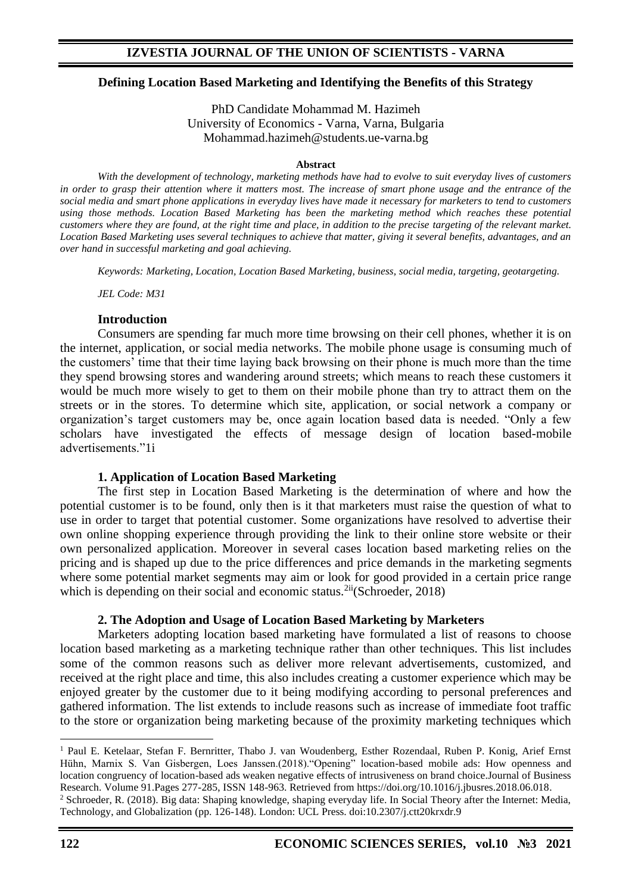## **Defining Location Based Marketing and Identifying the Benefits of this Strategy**

PhD Candidate Mohammad M. Hazimeh University of Economics - Varna, Varna, Bulgaria Mohammad.hazimeh@students.ue-varna.bg

#### **Abstract**

*With the development of technology, marketing methods have had to evolve to suit everyday lives of customers in order to grasp their attention where it matters most. The increase of smart phone usage and the entrance of the social media and smart phone applications in everyday lives have made it necessary for marketers to tend to customers using those methods. Location Based Marketing has been the marketing method which reaches these potential customers where they are found, at the right time and place, in addition to the precise targeting of the relevant market. Location Based Marketing uses several techniques to achieve that matter, giving it several benefits, advantages, and an over hand in successful marketing and goal achieving.*

*Keywords: Marketing, Location, Location Based Marketing, business, social media, targeting, geotargeting.* 

*JEL Code: M31*

### **Introduction**

Consumers are spending far much more time browsing on their cell phones, whether it is on the internet, application, or social media networks. The mobile phone usage is consuming much of the customers' time that their time laying back browsing on their phone is much more than the time they spend browsing stores and wandering around streets; which means to reach these customers it would be much more wisely to get to them on their mobile phone than try to attract them on the streets or in the stores. To determine which site, application, or social network a company or organization's target customers may be, once again location based data is needed. "Only a few scholars have investigated the effects of message design of location based-mobile advertisements."1i

## **1. Application of Location Based Marketing**

The first step in Location Based Marketing is the determination of where and how the potential customer is to be found, only then is it that marketers must raise the question of what to use in order to target that potential customer. Some organizations have resolved to advertise their own online shopping experience through providing the link to their online store website or their own personalized application. Moreover in several cases location based marketing relies on the pricing and is shaped up due to the price differences and price demands in the marketing segments where some potential market segments may aim or look for good provided in a certain price range which is depending on their social and economic status.<sup>2ii</sup>(Schroeder, 2018)

## **2. The Adoption and Usage of Location Based Marketing by Marketers**

Marketers adopting location based marketing have formulated a list of reasons to choose location based marketing as a marketing technique rather than other techniques. This list includes some of the common reasons such as deliver more relevant advertisements, customized, and received at the right place and time, this also includes creating a customer experience which may be enjoyed greater by the customer due to it being modifying according to personal preferences and gathered information. The list extends to include reasons such as increase of immediate foot traffic to the store or organization being marketing because of the proximity marketing techniques which

<sup>&</sup>lt;sup>1</sup> Paul E. Ketelaar, Stefan F. Bernritter, Thabo J. van Woudenberg, Esther Rozendaal, Ruben P. Konig, Arief Ernst Hühn, Marnix S. Van Gisbergen, Loes Janssen.(2018)."Opening" location-based mobile ads: How openness and location congruency of location-based ads weaken negative effects of intrusiveness on brand choice.Journal of Business Research. Volume 91.Pages 277-285, ISSN 148-963. Retrieved from https://doi.org/10.1016/j.jbusres.2018.06.018.

<sup>&</sup>lt;sup>2</sup> Schroeder, R. (2018). Big data: Shaping knowledge, shaping everyday life. In Social Theory after the Internet: Media, Technology, and Globalization (pp. 126-148). London: UCL Press. doi:10.2307/j.ctt20krxdr.9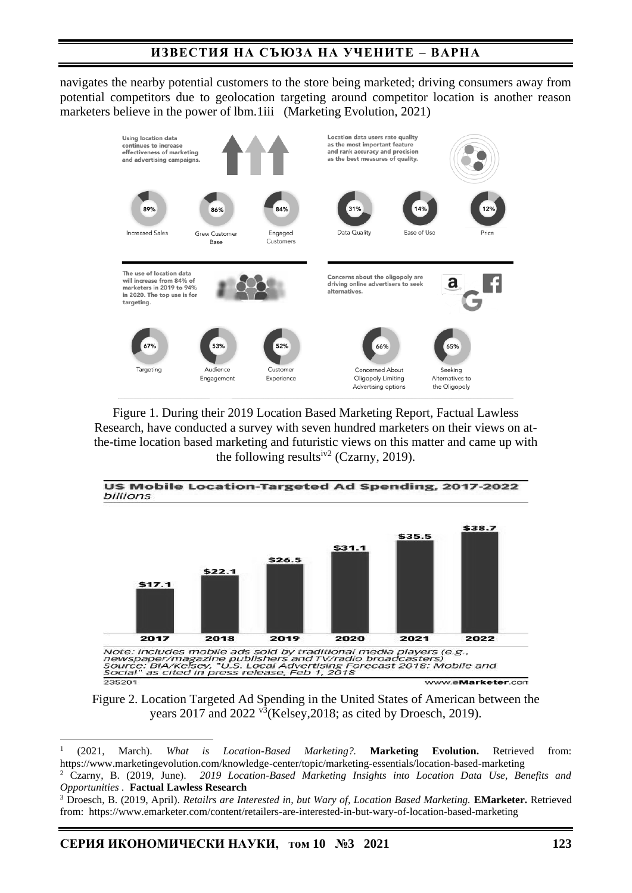# **ИЗВЕСТИЯ НА СЪЮЗА НА УЧЕНИТЕ – ВАРНА**

navigates the nearby potential customers to the store being marketed; driving consumers away from potential competitors due to geolocation targeting around competitor location is another reason marketers believe in the power of lbm.1iii (Marketing Evolution, 2021)



Figure 1. During their 2019 Location Based Marketing Report, Factual Lawless Research, have conducted a survey with seven hundred marketers on their views on atthe-time location based marketing and futuristic views on this matter and came up with the following results<sup>iv2</sup> (Czarny, 2019).



Figure 2. Location Targeted Ad Spending in the United States of American between the years 2017 and 2022 v<sup>3</sup>(Kelsey, 2018; as cited by Droesch, 2019).

1 (2021, March). *What is Location-Based Marketing?.* **Marketing Evolution.** Retrieved from: https://www.marketingevolution.com/knowledge-center/topic/marketing-essentials/location-based-marketing

<sup>2</sup> Czarny, B. (2019, June). *2019 Location-Based Marketing Insights into Location Data Use, Benefits and Opportunities .* **Factual Lawless Research**

<sup>3</sup> Droesch, B. (2019, April). *Retailrs are Interested in, but Wary of, Location Based Marketing.* **EMarketer.** Retrieved from: https://www.emarketer.com/content/retailers-are-interested-in-but-wary-of-location-based-marketing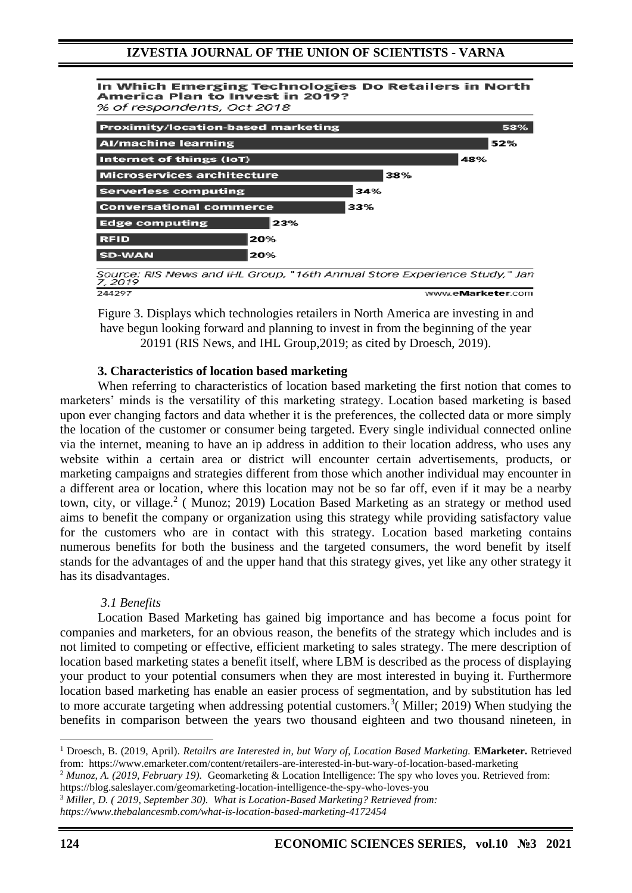In Which Emerging Technologies Do Retailers in North America Plan to Invest in 2019? % of respondents, Oct 2018 **Proximity/location-based marketing** 59% **Al/machine learning** 52% **Internet of things (IoT)** 48% **Microservices architecture** 38% **Serverless computing** 34% **Conversational commerce** 33% 23% **Edge computing RFID** 20% **SD-WAN** 20% Source: RIS News and IHL Group, "16th Annual Store Experience Study," Jan 7,2019 244297 www.eMarketer.com

Figure 3. Displays which technologies retailers in North America are investing in and have begun looking forward and planning to invest in from the beginning of the year 20191 (RIS News, and IHL Group,2019; as cited by Droesch, 2019).

### **3. Characteristics of location based marketing**

When referring to characteristics of location based marketing the first notion that comes to marketers' minds is the versatility of this marketing strategy. Location based marketing is based upon ever changing factors and data whether it is the preferences, the collected data or more simply the location of the customer or consumer being targeted. Every single individual connected online via the internet, meaning to have an ip address in addition to their location address, who uses any website within a certain area or district will encounter certain advertisements, products, or marketing campaigns and strategies different from those which another individual may encounter in a different area or location, where this location may not be so far off, even if it may be a nearby town, city, or village.<sup>2</sup> (Munoz; 2019) Location Based Marketing as an strategy or method used aims to benefit the company or organization using this strategy while providing satisfactory value for the customers who are in contact with this strategy. Location based marketing contains numerous benefits for both the business and the targeted consumers, the word benefit by itself stands for the advantages of and the upper hand that this strategy gives, yet like any other strategy it has its disadvantages.

#### *3.1 Benefits*

Location Based Marketing has gained big importance and has become a focus point for companies and marketers, for an obvious reason, the benefits of the strategy which includes and is not limited to competing or effective, efficient marketing to sales strategy. The mere description of location based marketing states a benefit itself, where LBM is described as the process of displaying your product to your potential consumers when they are most interested in buying it. Furthermore location based marketing has enable an easier process of segmentation, and by substitution has led to more accurate targeting when addressing potential customers.<sup>3</sup> (Miller; 2019) When studying the benefits in comparison between the years two thousand eighteen and two thousand nineteen, in

https://blog.saleslayer.com/geomarketing-location-intelligence-the-spy-who-loves-you

<sup>&</sup>lt;sup>1</sup> Droesch, B. (2019, April). *Retailrs are Interested in, but Wary of, Location Based Marketing.* **EMarketer.** Retrieved from: https://www.emarketer.com/content/retailers-are-interested-in-but-wary-of-location-based-marketing

<sup>2</sup> *Munoz, A. (2019, February 19).* Geomarketing & Location Intelligence: The spy who loves you. Retrieved from:

<sup>3</sup> *Miller, D. ( 2019, September 30). What is Location-Based Marketing? Retrieved from:*

*https://www.thebalancesmb.com/what-is-location-based-marketing-4172454*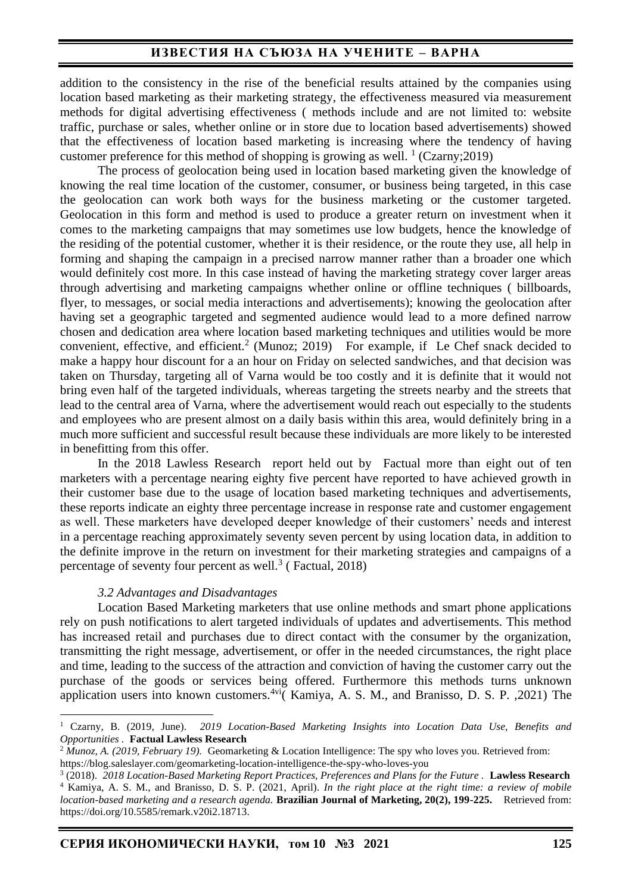## **ИЗВЕСТИЯ НА СЪЮЗА НА УЧЕНИТЕ – ВАРНА**

addition to the consistency in the rise of the beneficial results attained by the companies using location based marketing as their marketing strategy, the effectiveness measured via measurement methods for digital advertising effectiveness ( methods include and are not limited to: website traffic, purchase or sales, whether online or in store due to location based advertisements) showed that the effectiveness of location based marketing is increasing where the tendency of having customer preference for this method of shopping is growing as well.  $\frac{1}{1}$  (Czarny; 2019)

The process of geolocation being used in location based marketing given the knowledge of knowing the real time location of the customer, consumer, or business being targeted, in this case the geolocation can work both ways for the business marketing or the customer targeted. Geolocation in this form and method is used to produce a greater return on investment when it comes to the marketing campaigns that may sometimes use low budgets, hence the knowledge of the residing of the potential customer, whether it is their residence, or the route they use, all help in forming and shaping the campaign in a precised narrow manner rather than a broader one which would definitely cost more. In this case instead of having the marketing strategy cover larger areas through advertising and marketing campaigns whether online or offline techniques ( billboards, flyer, to messages, or social media interactions and advertisements); knowing the geolocation after having set a geographic targeted and segmented audience would lead to a more defined narrow chosen and dedication area where location based marketing techniques and utilities would be more convenient, effective, and efficient.<sup>2</sup> (Munoz; 2019) For example, if Le Chef snack decided to make a happy hour discount for a an hour on Friday on selected sandwiches, and that decision was taken on Thursday, targeting all of Varna would be too costly and it is definite that it would not bring even half of the targeted individuals, whereas targeting the streets nearby and the streets that lead to the central area of Varna, where the advertisement would reach out especially to the students and employees who are present almost on a daily basis within this area, would definitely bring in a much more sufficient and successful result because these individuals are more likely to be interested in benefitting from this offer.

In the 2018 Lawless Research report held out by Factual more than eight out of ten marketers with a percentage nearing eighty five percent have reported to have achieved growth in their customer base due to the usage of location based marketing techniques and advertisements, these reports indicate an eighty three percentage increase in response rate and customer engagement as well. These marketers have developed deeper knowledge of their customers' needs and interest in a percentage reaching approximately seventy seven percent by using location data, in addition to the definite improve in the return on investment for their marketing strategies and campaigns of a percentage of seventy four percent as well. $3$  (Factual, 2018)

#### *3.2 Advantages and Disadvantages*

Location Based Marketing marketers that use online methods and smart phone applications rely on push notifications to alert targeted individuals of updates and advertisements. This method has increased retail and purchases due to direct contact with the consumer by the organization, transmitting the right message, advertisement, or offer in the needed circumstances, the right place and time, leading to the success of the attraction and conviction of having the customer carry out the purchase of the goods or services being offered. Furthermore this methods turns unknown application users into known customers.<sup>4vi</sup> Kamiya, A. S. M., and Branisso, D. S. P. ,2021) The

<sup>1</sup> Czarny, B. (2019, June). *2019 Location-Based Marketing Insights into Location Data Use, Benefits and Opportunities .* **Factual Lawless Research**

<sup>2</sup> *Munoz, A. (2019, February 19).* Geomarketing & Location Intelligence: The spy who loves you. Retrieved from: https://blog.saleslayer.com/geomarketing-location-intelligence-the-spy-who-loves-you

<sup>&</sup>lt;sup>3</sup> (2018). *2018 Location-Based Marketing Report Practices, Preferences and Plans for the Future . Lawless Research* <sup>4</sup> Kamiya, A. S. M., and Branisso, D. S. P. (2021, April). *In the right place at the right time: a review of mobile location-based marketing and a research agenda.* **Brazilian Journal of Marketing, 20(2), 199-225.** Retrieved from: https://doi.org/10.5585/remark.v20i2.18713.